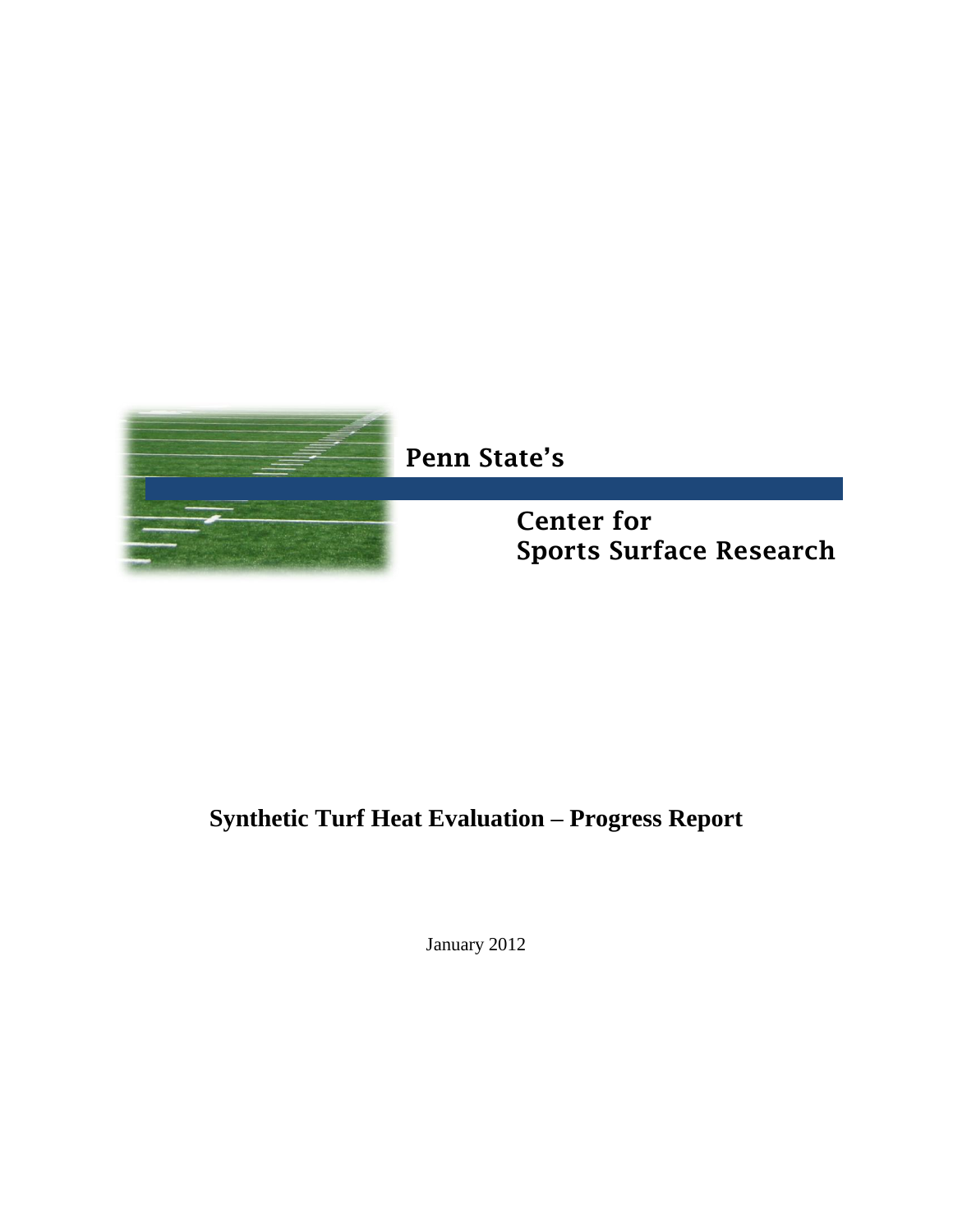

# **Synthetic Turf Heat Evaluation – Progress Report**

January 2012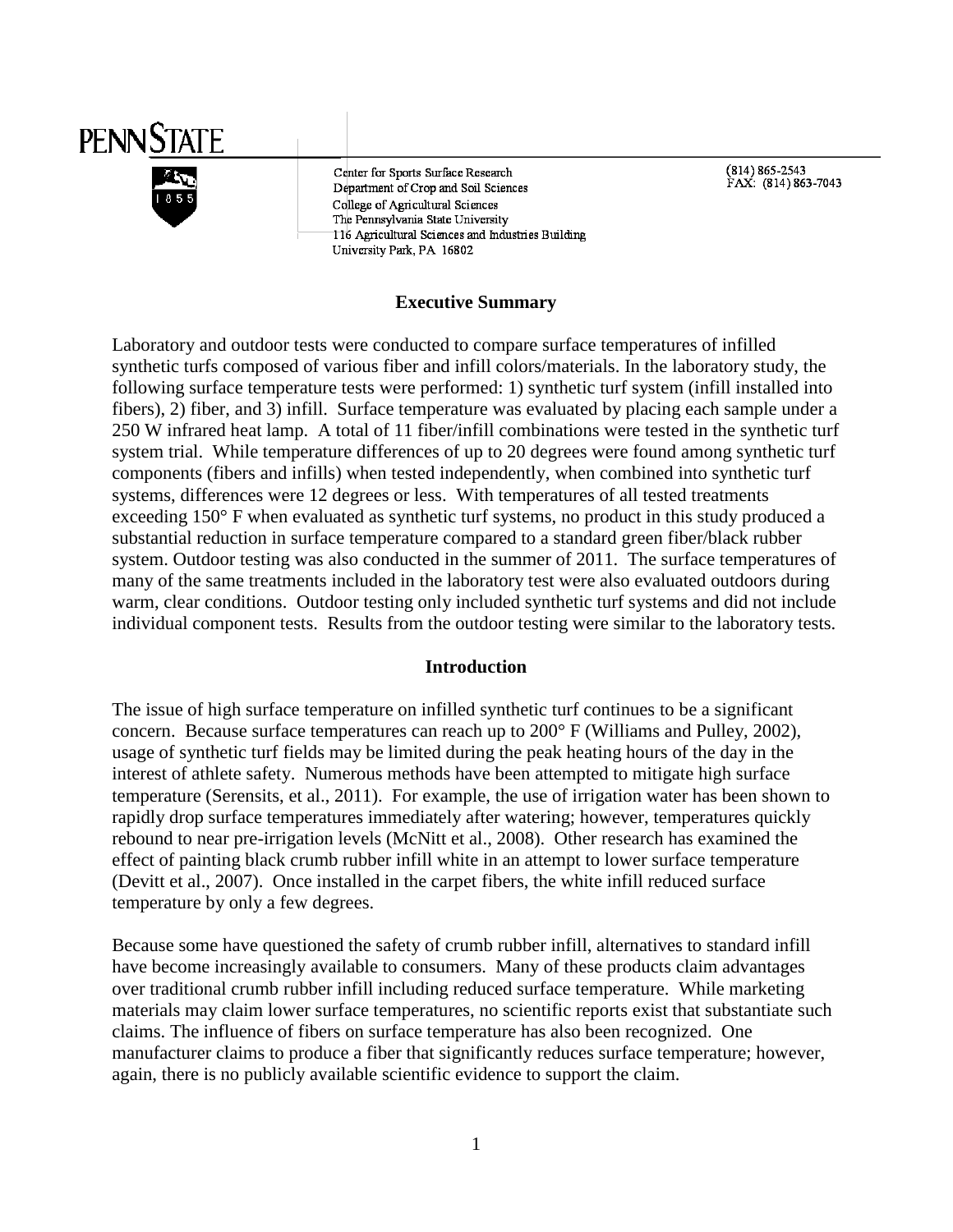

Center for Sports Surface Research Department of Crop and Soil Sciences College of Agricultural Sciences The Pennsylvania State University 116 Agricultural Sciences and Industries Building University Park, PA 16802

(814) 865-2543<br>FAX: (814) 863-7043

#### **Executive Summary**

Laboratory and outdoor tests were conducted to compare surface temperatures of infilled synthetic turfs composed of various fiber and infill colors/materials. In the laboratory study, the following surface temperature tests were performed: 1) synthetic turf system (infill installed into fibers), 2) fiber, and 3) infill. Surface temperature was evaluated by placing each sample under a 250 W infrared heat lamp. A total of 11 fiber/infill combinations were tested in the synthetic turf system trial. While temperature differences of up to 20 degrees were found among synthetic turf components (fibers and infills) when tested independently, when combined into synthetic turf systems, differences were 12 degrees or less. With temperatures of all tested treatments exceeding 150° F when evaluated as synthetic turf systems, no product in this study produced a substantial reduction in surface temperature compared to a standard green fiber/black rubber system. Outdoor testing was also conducted in the summer of 2011. The surface temperatures of many of the same treatments included in the laboratory test were also evaluated outdoors during warm, clear conditions. Outdoor testing only included synthetic turf systems and did not include individual component tests. Results from the outdoor testing were similar to the laboratory tests.

#### **Introduction**

The issue of high surface temperature on infilled synthetic turf continues to be a significant concern. Because surface temperatures can reach up to 200° F (Williams and Pulley, 2002), usage of synthetic turf fields may be limited during the peak heating hours of the day in the interest of athlete safety. Numerous methods have been attempted to mitigate high surface temperature (Serensits, et al., 2011). For example, the use of irrigation water has been shown to rapidly drop surface temperatures immediately after watering; however, temperatures quickly rebound to near pre-irrigation levels (McNitt et al., 2008). Other research has examined the effect of painting black crumb rubber infill white in an attempt to lower surface temperature (Devitt et al., 2007). Once installed in the carpet fibers, the white infill reduced surface temperature by only a few degrees.

Because some have questioned the safety of crumb rubber infill, alternatives to standard infill have become increasingly available to consumers. Many of these products claim advantages over traditional crumb rubber infill including reduced surface temperature. While marketing materials may claim lower surface temperatures, no scientific reports exist that substantiate such claims. The influence of fibers on surface temperature has also been recognized. One manufacturer claims to produce a fiber that significantly reduces surface temperature; however, again, there is no publicly available scientific evidence to support the claim.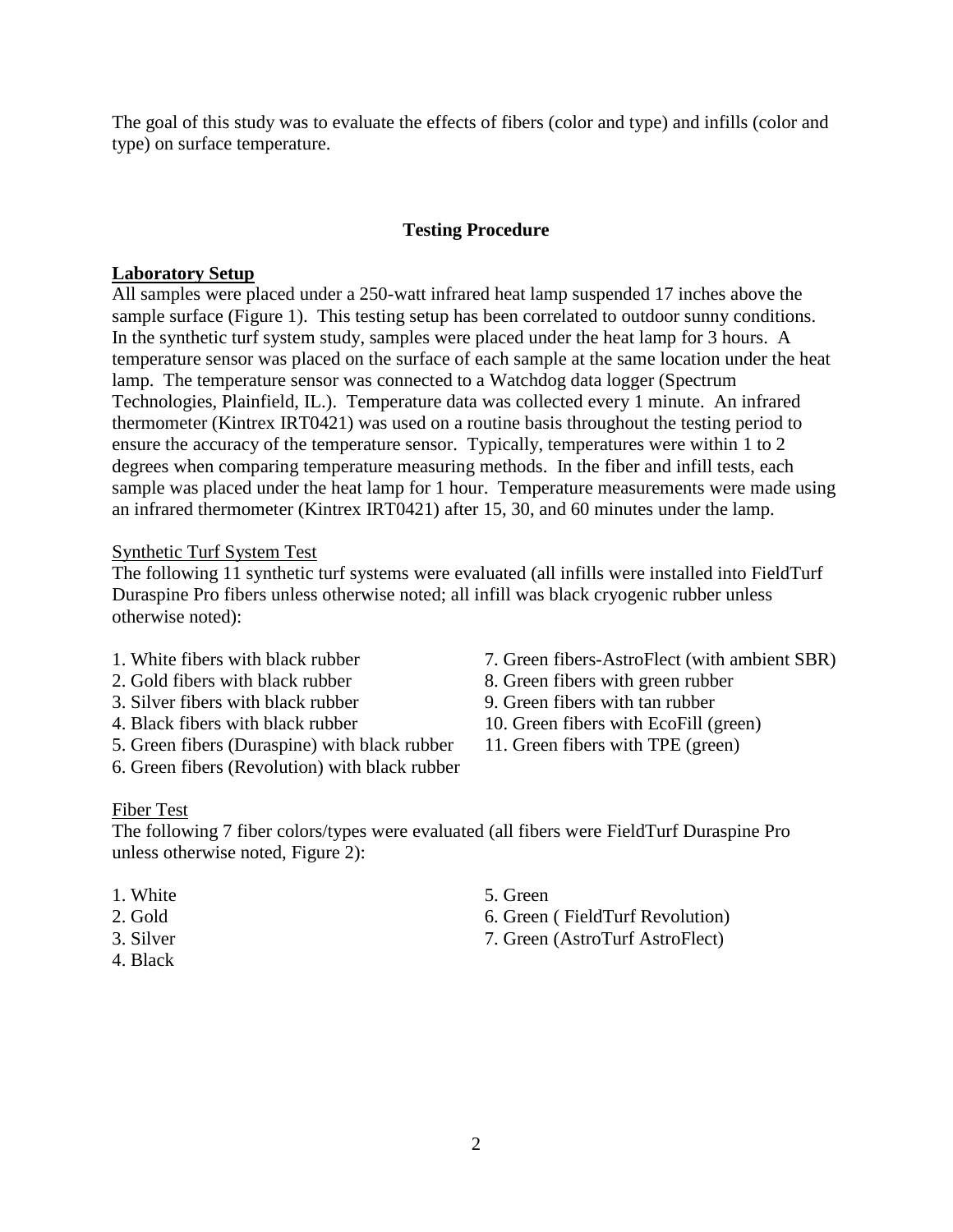The goal of this study was to evaluate the effects of fibers (color and type) and infills (color and type) on surface temperature.

#### **Testing Procedure**

#### **Laboratory Setup**

All samples were placed under a 250-watt infrared heat lamp suspended 17 inches above the sample surface (Figure 1). This testing setup has been correlated to outdoor sunny conditions. In the synthetic turf system study, samples were placed under the heat lamp for 3 hours. A temperature sensor was placed on the surface of each sample at the same location under the heat lamp. The temperature sensor was connected to a Watchdog data logger (Spectrum Technologies, Plainfield, IL.). Temperature data was collected every 1 minute. An infrared thermometer (Kintrex IRT0421) was used on a routine basis throughout the testing period to ensure the accuracy of the temperature sensor. Typically, temperatures were within 1 to 2 degrees when comparing temperature measuring methods. In the fiber and infill tests, each sample was placed under the heat lamp for 1 hour. Temperature measurements were made using an infrared thermometer (Kintrex IRT0421) after 15, 30, and 60 minutes under the lamp.

#### Synthetic Turf System Test

The following 11 synthetic turf systems were evaluated (all infills were installed into FieldTurf Duraspine Pro fibers unless otherwise noted; all infill was black cryogenic rubber unless otherwise noted):

- 
- 
- 3. Silver fibers with black rubber
- 
- 5. Green fibers (Duraspine) with black rubber 11. Green fibers with TPE (green)
- 6. Green fibers (Revolution) with black rubber
- 1. White fibers with black rubber 7. Green fibers-AstroFlect (with ambient SBR)
- 2. Gold fibers with black rubber 8. Green fibers with green rubber<br>3. Silver fibers with black rubber 9. Green fibers with tan rubber
	-
- 4. Black fibers with black rubber 10. Green fibers with EcoFill (green)
	-

#### Fiber Test

The following 7 fiber colors/types were evaluated (all fibers were FieldTurf Duraspine Pro unless otherwise noted, Figure 2):

- 1. White 5. Green
- 
- 
- 4. Black
- 
- 2. Gold 6. Green (FieldTurf Revolution)
- 3. Silver 7. Green (AstroTurf AstroFlect)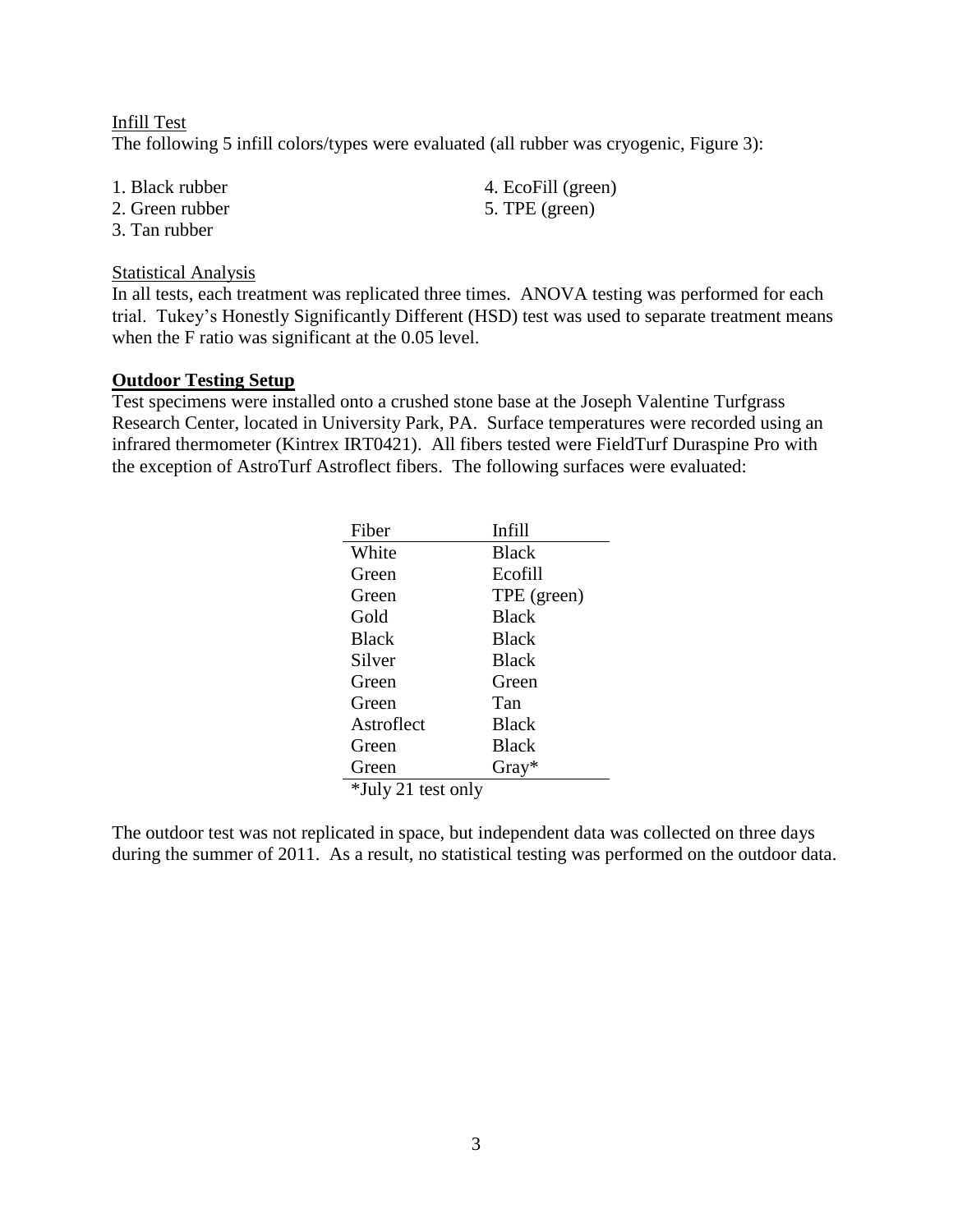Infill Test The following 5 infill colors/types were evaluated (all rubber was cryogenic, Figure 3):

- 
- 2. Green rubber 5. TPE (green)
- 3. Tan rubber

#### Statistical Analysis

In all tests, each treatment was replicated three times. ANOVA testing was performed for each trial. Tukey's Honestly Significantly Different (HSD) test was used to separate treatment means when the F ratio was significant at the 0.05 level.

#### **Outdoor Testing Setup**

Test specimens were installed onto a crushed stone base at the Joseph Valentine Turfgrass Research Center, located in University Park, PA. Surface temperatures were recorded using an infrared thermometer (Kintrex IRT0421). All fibers tested were FieldTurf Duraspine Pro with the exception of AstroTurf Astroflect fibers. The following surfaces were evaluated:

| Fiber              | <b>Infill</b> |
|--------------------|---------------|
| White              | <b>Black</b>  |
| Green              | Ecofill       |
| Green              | TPE (green)   |
| Gold               | <b>Black</b>  |
| <b>Black</b>       | <b>Black</b>  |
| Silver             | <b>Black</b>  |
| Green              | Green         |
| Green              | Tan           |
| Astroflect         | <b>Black</b>  |
| Green              | <b>Black</b>  |
| Green              | Gray*         |
| *July 21 test only |               |

The outdoor test was not replicated in space, but independent data was collected on three days during the summer of 2011. As a result, no statistical testing was performed on the outdoor data.

1. Black rubber 4. EcoFill (green)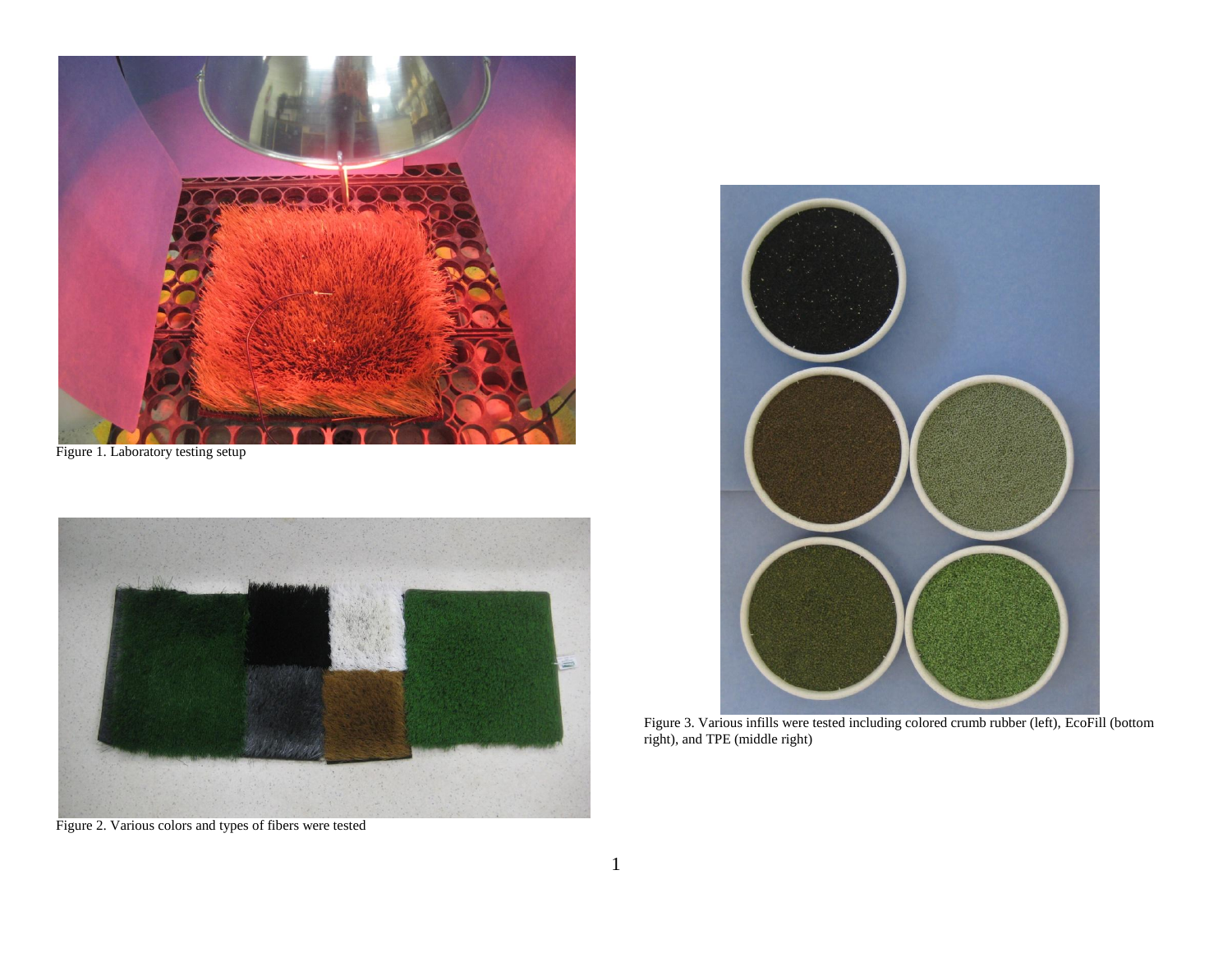

Figure 1. Laboratory testing setup



Figure 2. Various colors and types of fibers were tested



Figure 3. Various infills were tested including colored crumb rubber (left), EcoFill (bottom right), and TPE (middle right)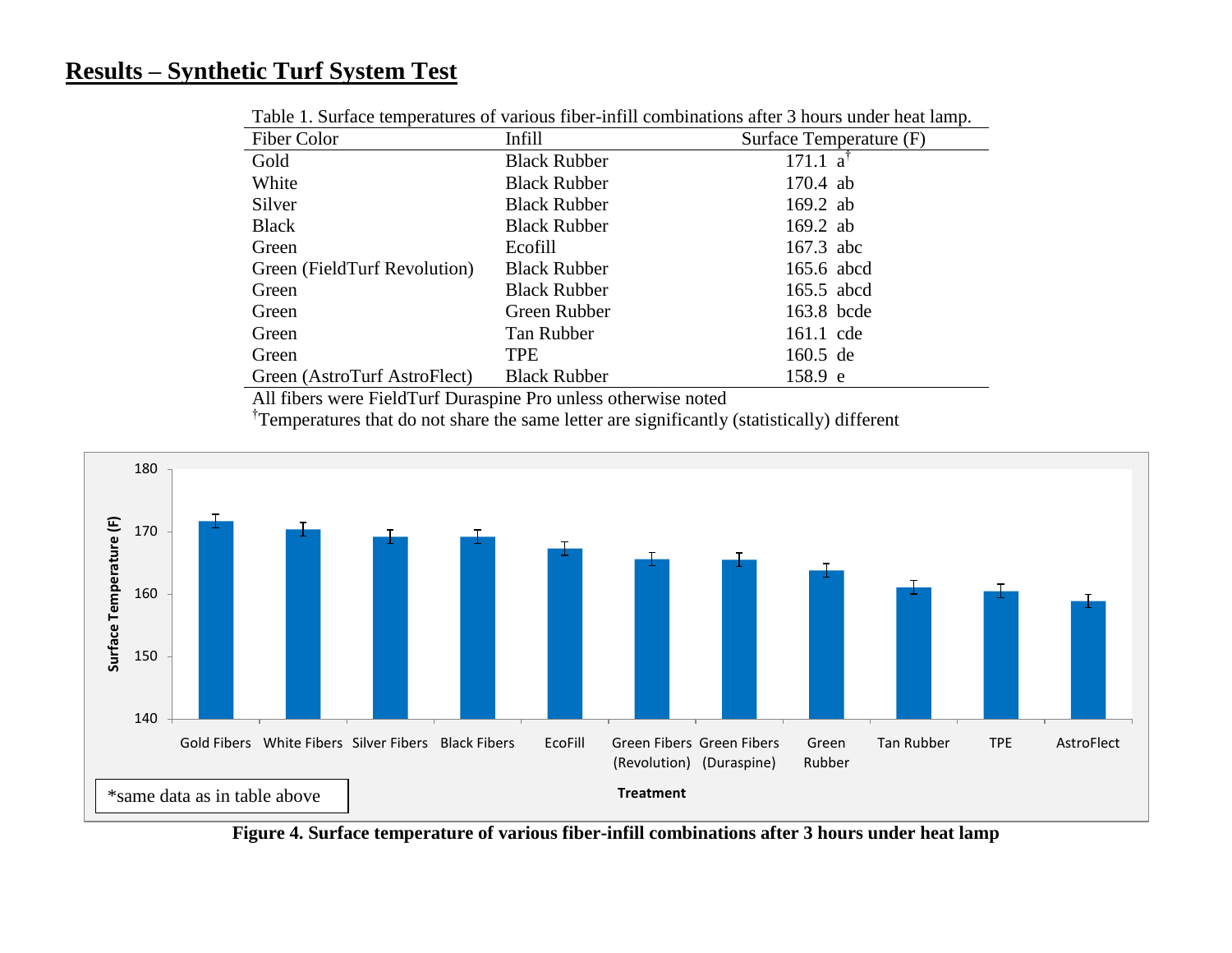## **Results – Synthetic Turf System Test**

| Fiber Color                  | Infill              | Surface Temperature (F) |
|------------------------------|---------------------|-------------------------|
| Gold                         | <b>Black Rubber</b> | $171.1 a$ <sup>T</sup>  |
| White                        | <b>Black Rubber</b> | $170.4$ ab              |
| Silver                       | <b>Black Rubber</b> | $169.2$ ab              |
| <b>Black</b>                 | <b>Black Rubber</b> | $169.2$ ab              |
| Green                        | Ecofill             | 167.3 abc               |
| Green (FieldTurf Revolution) | <b>Black Rubber</b> | 165.6 abcd              |
| Green                        | <b>Black Rubber</b> | 165.5 abcd              |
| Green                        | Green Rubber        | 163.8 bcde              |
| Green                        | Tan Rubber          | 161.1 cde               |
| Green                        | <b>TPE</b>          | 160.5 de                |
| Green (AstroTurf AstroFlect) | <b>Black Rubber</b> | 158.9 e                 |

Table 1. Surface temperatures of various fiber-infill combinations after 3 hours under heat lamp.

All fibers were FieldTurf Duraspine Pro unless otherwise noted

<sup>†</sup>Temperatures that do not share the same letter are significantly (statistically) different



**Figure 4. Surface temperature of various fiber-infill combinations after 3 hours under heat lamp**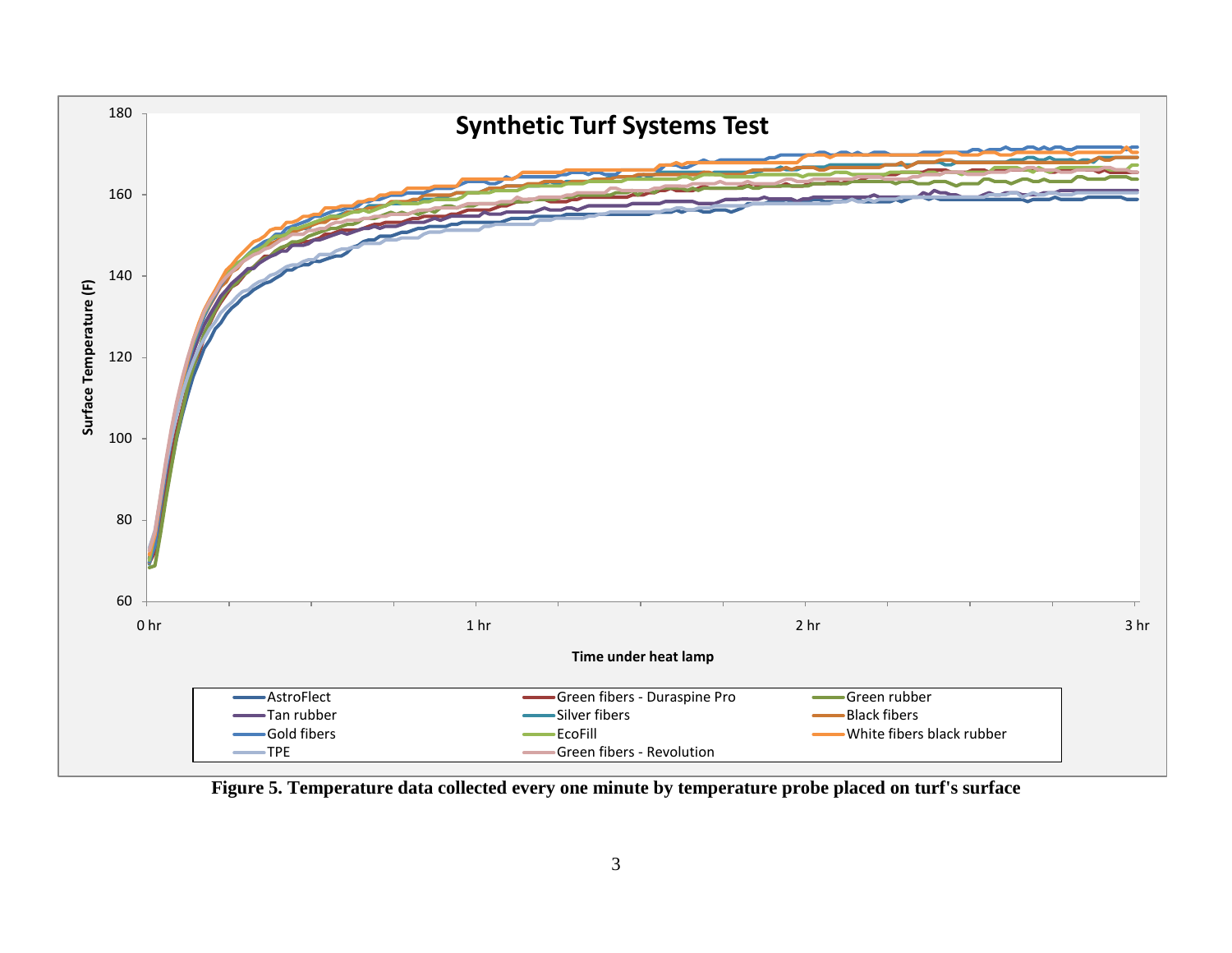

**Figure 5. Temperature data collected every one minute by temperature probe placed on turf's surface**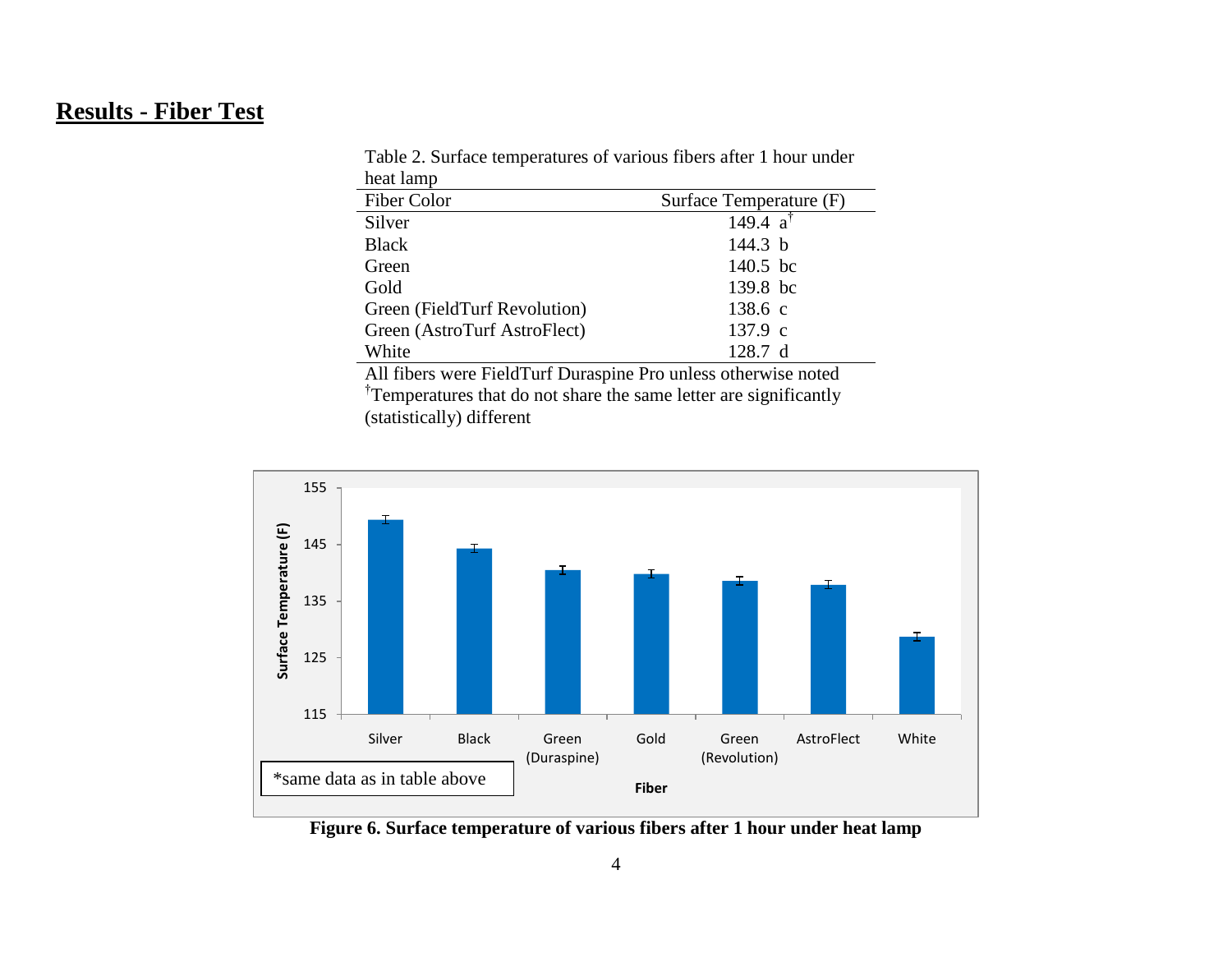# **Results - Fiber Test**

| ncat iamp                                                      |                         |  |  |  |
|----------------------------------------------------------------|-------------------------|--|--|--|
| Fiber Color                                                    | Surface Temperature (F) |  |  |  |
| Silver                                                         | 149.4 $a^{\dagger}$     |  |  |  |
| <b>Black</b>                                                   | 144.3 $b$               |  |  |  |
| Green                                                          | 140.5 bc                |  |  |  |
| Gold                                                           | 139.8 bc                |  |  |  |
| Green (FieldTurf Revolution)                                   | 138.6 c                 |  |  |  |
| Green (AstroTurf AstroFlect)                                   | 137.9 c                 |  |  |  |
| White                                                          | 128.7 d                 |  |  |  |
| All fibers were FieldTurf Duraspine Pro unless otherwise noted |                         |  |  |  |
|                                                                |                         |  |  |  |

Table 2. Surface temperatures of various fibers after 1 hour under heat lamp

<sup>†</sup>Temperatures that do not share the same letter are significantly (statistically) different



**Figure 6. Surface temperature of various fibers after 1 hour under heat lamp**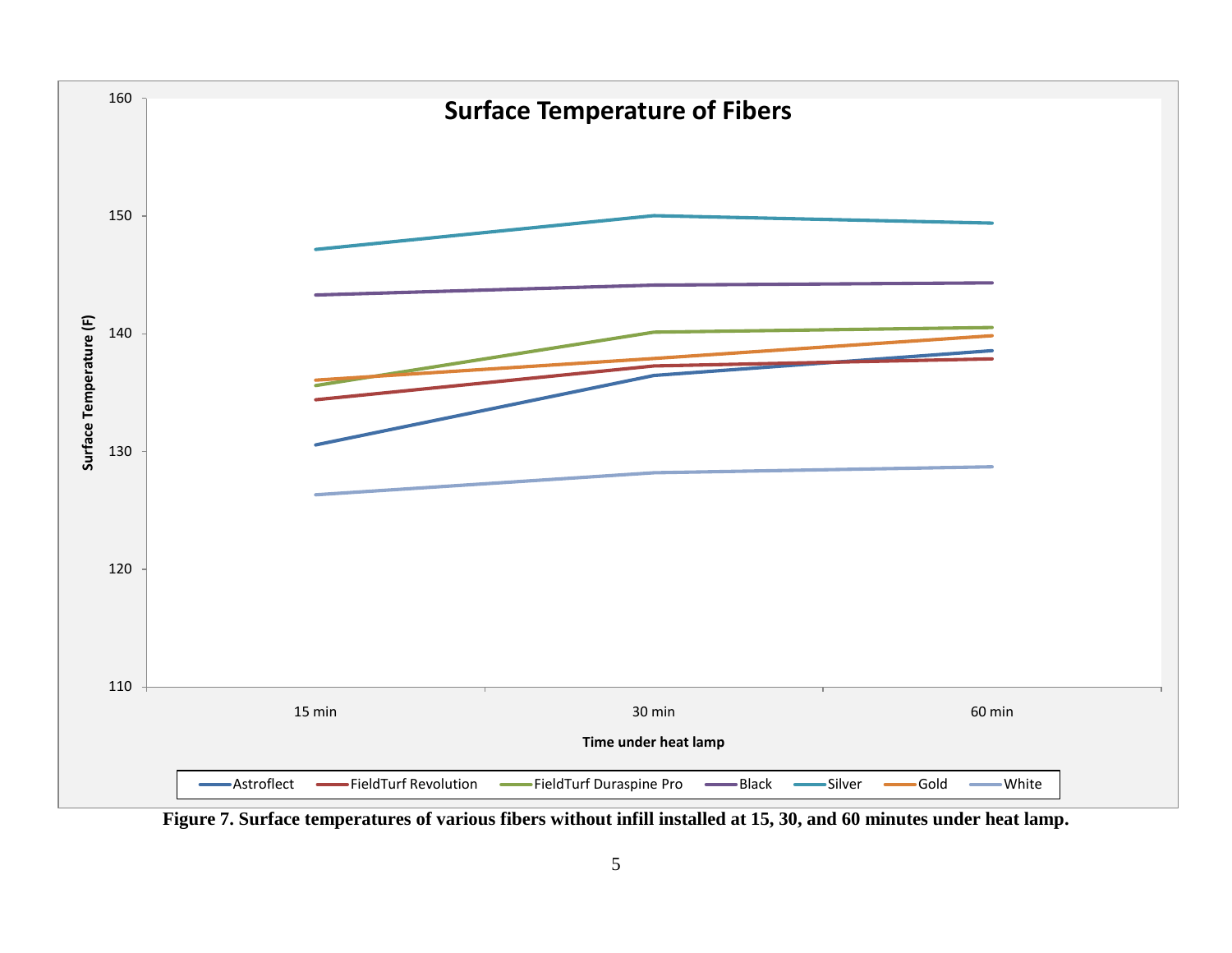

**Figure 7. Surface temperatures of various fibers without infill installed at 15, 30, and 60 minutes under heat lamp.**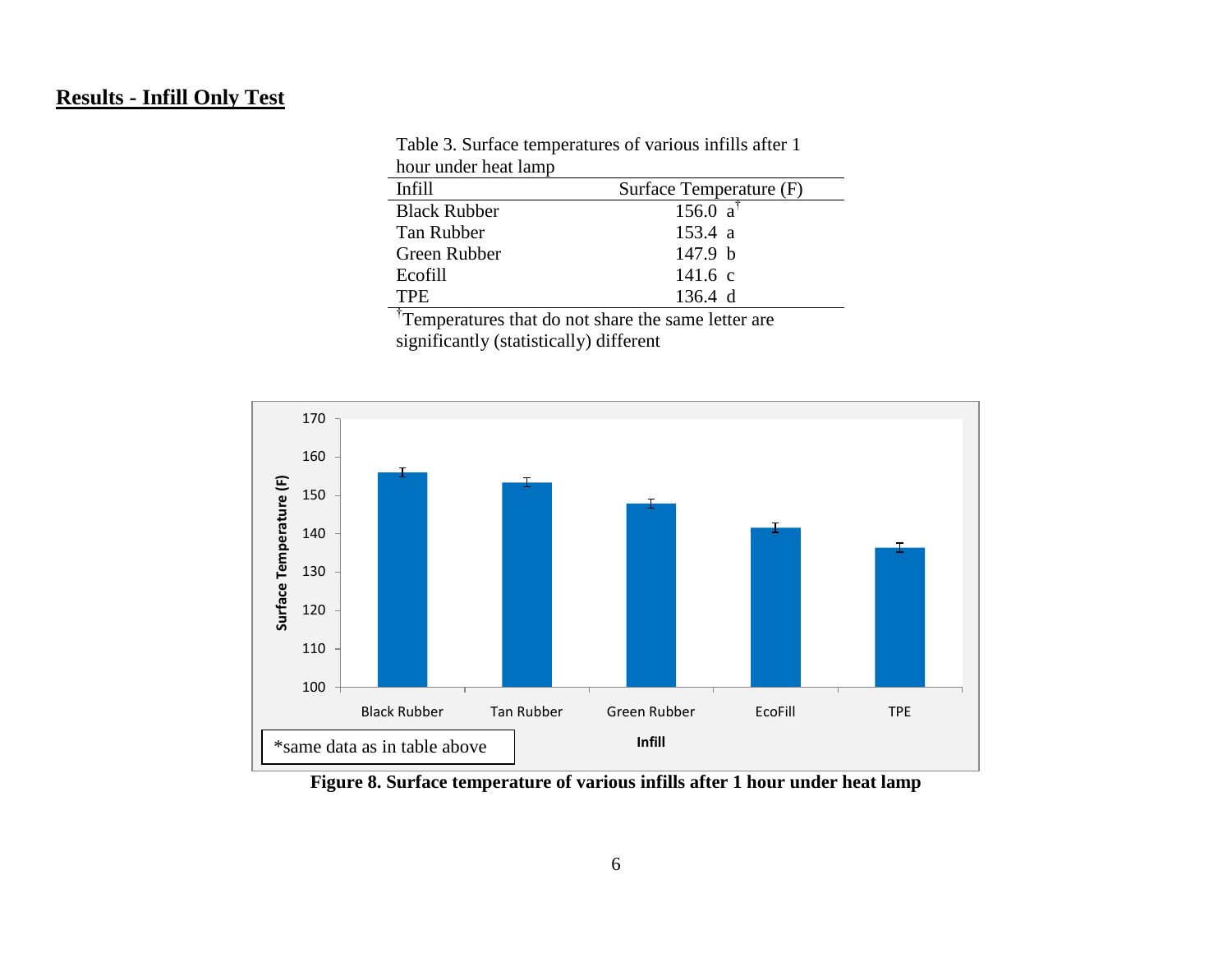### **Results - Infill Only Test**

| hour under heat lamp |                         |
|----------------------|-------------------------|
| Infill               | Surface Temperature (F) |
| <b>Black Rubber</b>  | 156.0 $a^{\dagger}$     |
| Tan Rubber           | 153.4 a                 |
| Green Rubber         | 147.9 <sub>b</sub>      |
| Ecofill              | 141.6 c                 |
| <b>TPE</b>           | 136.4 d                 |

Table 3. Surface temperatures of various infills after 1 hour under heat lamp

<sup>†</sup>Temperatures that do not share the same letter are significantly (statistically) different



**Figure 8. Surface temperature of various infills after 1 hour under heat lamp**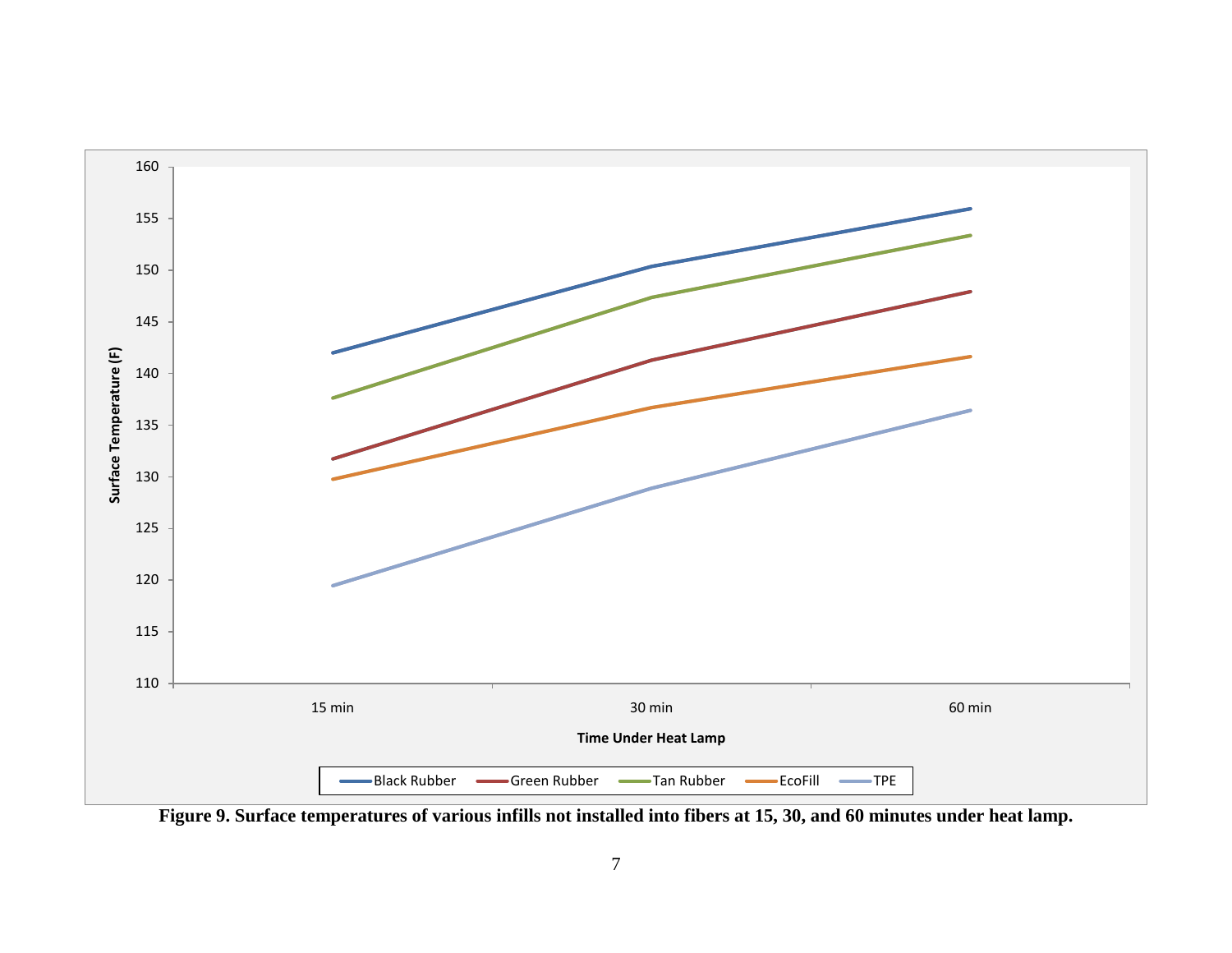

**Figure 9. Surface temperatures of various infills not installed into fibers at 15, 30, and 60 minutes under heat lamp.**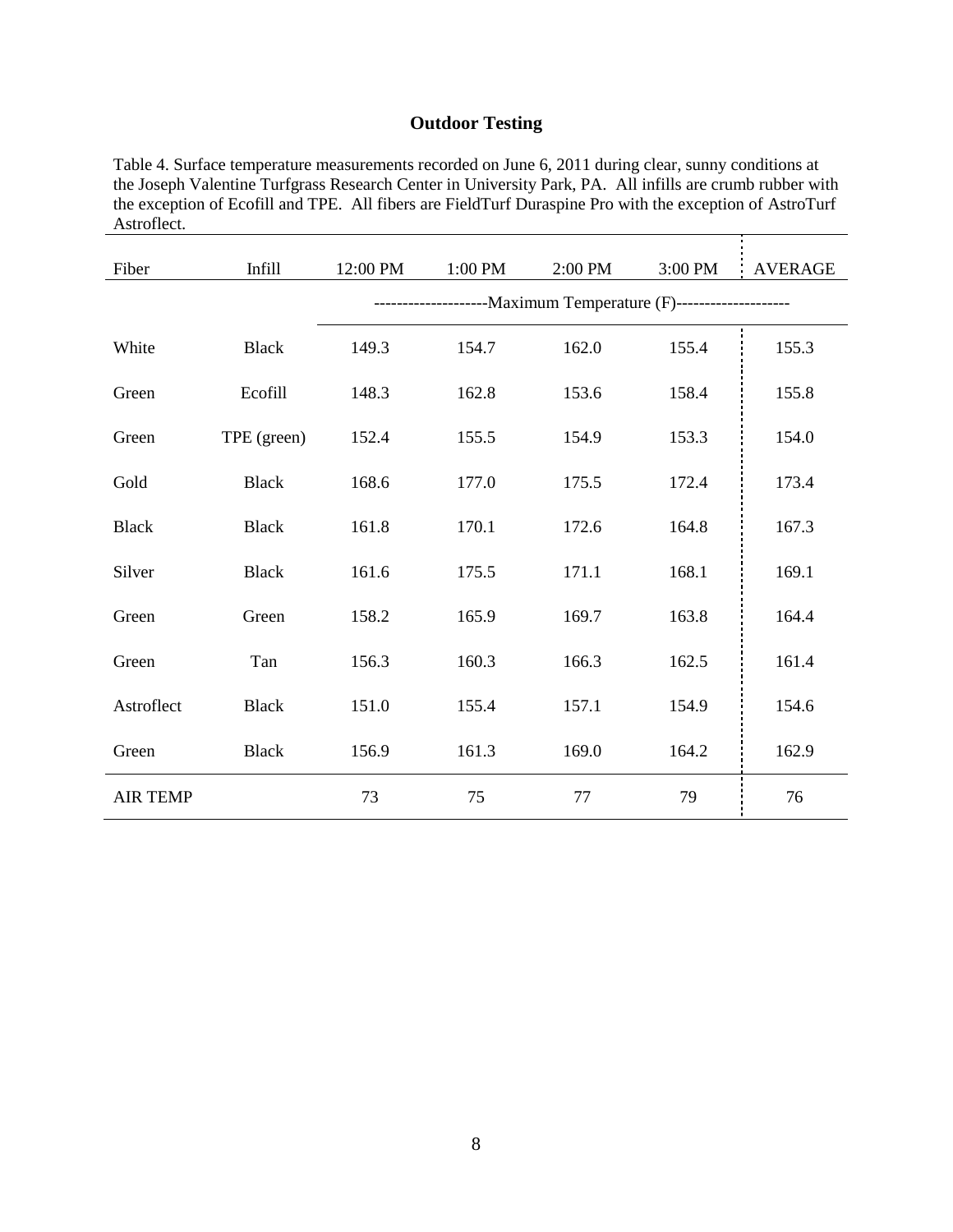#### **Outdoor Testing**

Table 4. Surface temperature measurements recorded on June 6, 2011 during clear, sunny conditions at the Joseph Valentine Turfgrass Research Center in University Park, PA. All infills are crumb rubber with the exception of Ecofill and TPE. All fibers are FieldTurf Duraspine Pro with the exception of AstroTurf Astroflect.

| Fiber           | Infill       | 12:00 PM                                                            | 1:00 PM | 2:00 PM | 3:00 PM | <b>AVERAGE</b> |  |
|-----------------|--------------|---------------------------------------------------------------------|---------|---------|---------|----------------|--|
|                 |              | ----------------------- Maximum Temperature (F)-------------------- |         |         |         |                |  |
| White           | <b>Black</b> | 149.3                                                               | 154.7   | 162.0   | 155.4   | 155.3          |  |
| Green           | Ecofill      | 148.3                                                               | 162.8   | 153.6   | 158.4   | 155.8          |  |
| Green           | TPE (green)  | 152.4                                                               | 155.5   | 154.9   | 153.3   | 154.0          |  |
| Gold            | <b>Black</b> | 168.6                                                               | 177.0   | 175.5   | 172.4   | 173.4          |  |
| <b>Black</b>    | <b>Black</b> | 161.8                                                               | 170.1   | 172.6   | 164.8   | 167.3          |  |
| Silver          | <b>Black</b> | 161.6                                                               | 175.5   | 171.1   | 168.1   | 169.1          |  |
| Green           | Green        | 158.2                                                               | 165.9   | 169.7   | 163.8   | 164.4          |  |
| Green           | Tan          | 156.3                                                               | 160.3   | 166.3   | 162.5   | 161.4          |  |
| Astroflect      | <b>Black</b> | 151.0                                                               | 155.4   | 157.1   | 154.9   | 154.6          |  |
| Green           | <b>Black</b> | 156.9                                                               | 161.3   | 169.0   | 164.2   | 162.9          |  |
| <b>AIR TEMP</b> |              | 73                                                                  | 75      | 77      | 79      | 76             |  |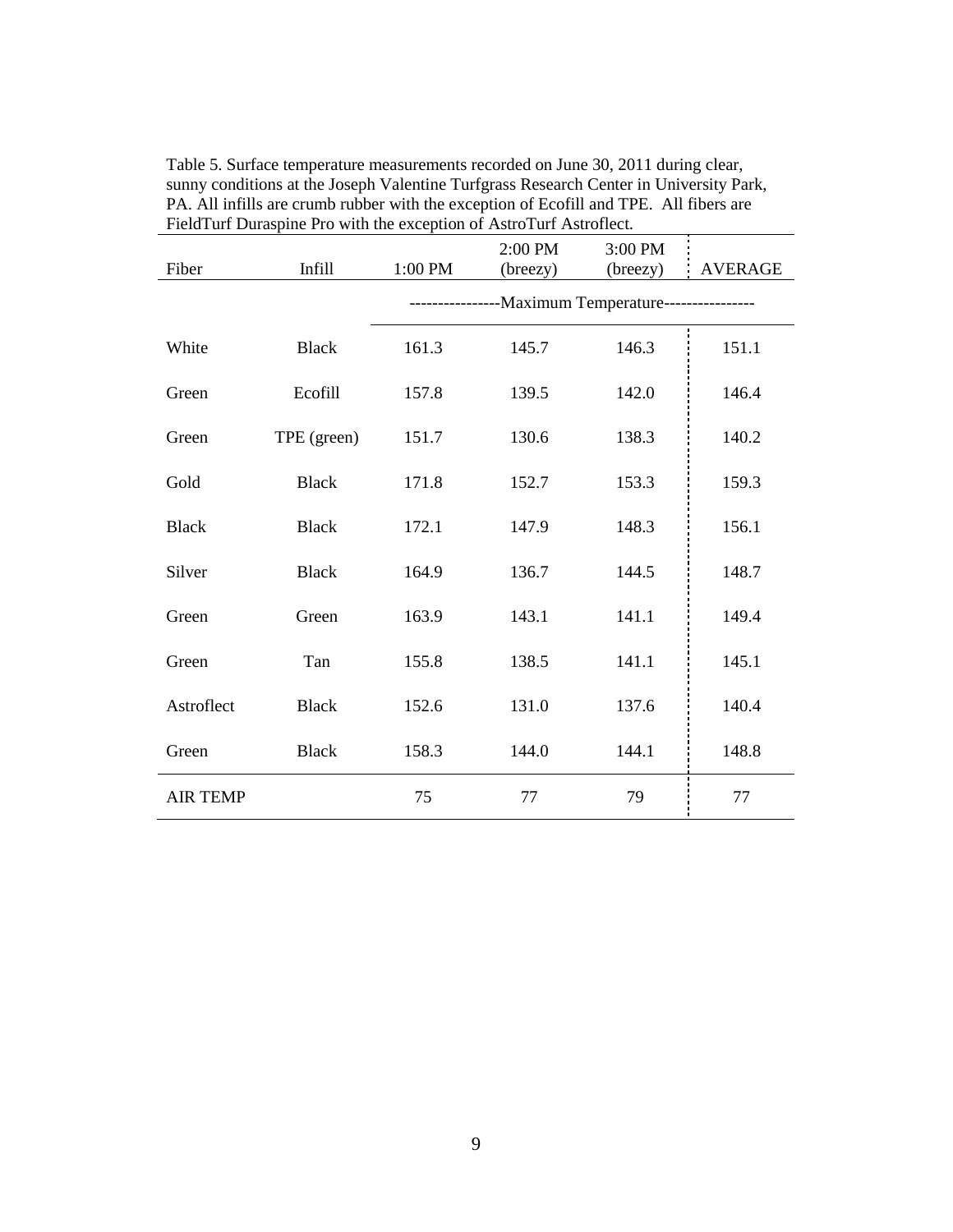| Fiber           | <b>Infill</b> | 1:00 PM                                              | 2:00 PM<br>(breezy) | 3:00 PM<br>(breezy) | <b>AVERAGE</b> |  |
|-----------------|---------------|------------------------------------------------------|---------------------|---------------------|----------------|--|
|                 |               | -----------------Maximum Temperature---------------- |                     |                     |                |  |
| White           | <b>Black</b>  | 161.3                                                | 145.7               | 146.3               | 151.1          |  |
| Green           | Ecofill       | 157.8                                                | 139.5               | 142.0               | 146.4          |  |
| Green           | TPE (green)   | 151.7                                                | 130.6               | 138.3               | 140.2          |  |
| Gold            | <b>Black</b>  | 171.8                                                | 152.7               | 153.3               | 159.3          |  |
| <b>Black</b>    | <b>Black</b>  | 172.1                                                | 147.9               | 148.3               | 156.1          |  |
| Silver          | <b>Black</b>  | 164.9                                                | 136.7               | 144.5               | 148.7          |  |
| Green           | Green         | 163.9                                                | 143.1               | 141.1               | 149.4          |  |
| Green           | Tan           | 155.8                                                | 138.5               | 141.1               | 145.1          |  |
| Astroflect      | <b>Black</b>  | 152.6                                                | 131.0               | 137.6               | 140.4          |  |
| Green           | <b>Black</b>  | 158.3                                                | 144.0               | 144.1               | 148.8          |  |
| <b>AIR TEMP</b> |               | 75                                                   | 77                  | 79                  | 77             |  |

Table 5. Surface temperature measurements recorded on June 30, 2011 during clear, sunny conditions at the Joseph Valentine Turfgrass Research Center in University Park, PA. All infills are crumb rubber with the exception of Ecofill and TPE. All fibers are FieldTurf Duraspine Pro with the exception of AstroTurf Astroflect.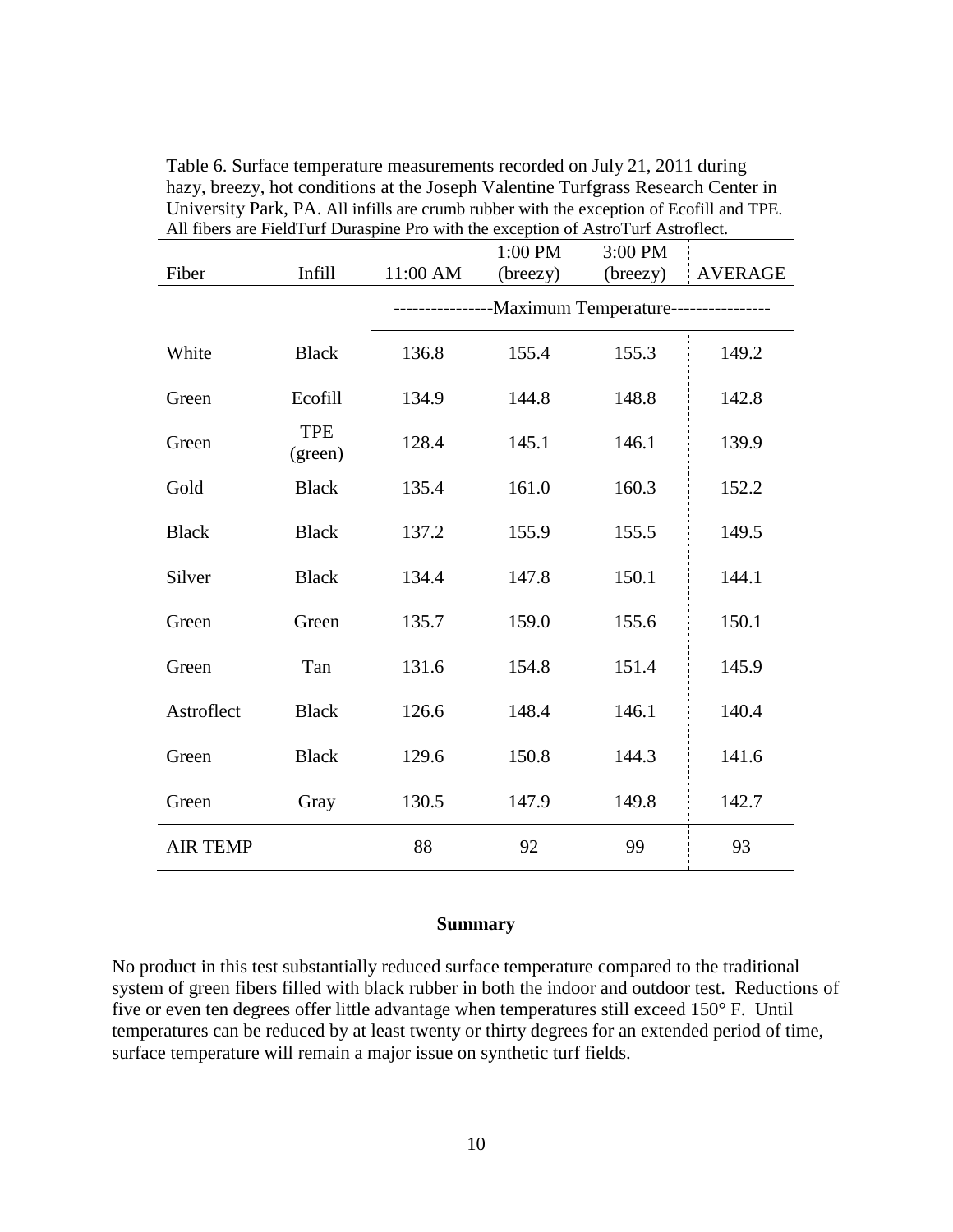| All noers are Field furt Duraspine Pro with the exception of Astro furt Astrollect. |                       |                                 |          |          |         |
|-------------------------------------------------------------------------------------|-----------------------|---------------------------------|----------|----------|---------|
|                                                                                     |                       |                                 | 1:00 PM  | 3:00 PM  |         |
| Fiber                                                                               | <b>Infill</b>         | 11:00 AM                        | (breezy) | (breezy) | AVERAGE |
|                                                                                     |                       | -Maximum Temperature----------- |          |          |         |
| White                                                                               | <b>Black</b>          | 136.8                           | 155.4    | 155.3    | 149.2   |
| Green                                                                               | Ecofill               | 134.9                           | 144.8    | 148.8    | 142.8   |
| Green                                                                               | <b>TPE</b><br>(green) | 128.4                           | 145.1    | 146.1    | 139.9   |
| Gold                                                                                | <b>Black</b>          | 135.4                           | 161.0    | 160.3    | 152.2   |
| <b>Black</b>                                                                        | <b>Black</b>          | 137.2                           | 155.9    | 155.5    | 149.5   |
| Silver                                                                              | <b>Black</b>          | 134.4                           | 147.8    | 150.1    | 144.1   |
| Green                                                                               | Green                 | 135.7                           | 159.0    | 155.6    | 150.1   |
| Green                                                                               | Tan                   | 131.6                           | 154.8    | 151.4    | 145.9   |
| Astroflect                                                                          | <b>Black</b>          | 126.6                           | 148.4    | 146.1    | 140.4   |
| Green                                                                               | <b>Black</b>          | 129.6                           | 150.8    | 144.3    | 141.6   |
| Green                                                                               | Gray                  | 130.5                           | 147.9    | 149.8    | 142.7   |
| <b>AIR TEMP</b>                                                                     |                       | 88                              | 92       | 99       | 93      |

Table 6. Surface temperature measurements recorded on July 21, 2011 during hazy, breezy, hot conditions at the Joseph Valentine Turfgrass Research Center in University Park, PA. All infills are crumb rubber with the exception of Ecofill and TPE. All fibers are FieldTurf Duraspine Pro with the exception of AstroTurf Astroflect.

#### **Summary**

No product in this test substantially reduced surface temperature compared to the traditional system of green fibers filled with black rubber in both the indoor and outdoor test. Reductions of five or even ten degrees offer little advantage when temperatures still exceed 150° F. Until temperatures can be reduced by at least twenty or thirty degrees for an extended period of time, surface temperature will remain a major issue on synthetic turf fields.